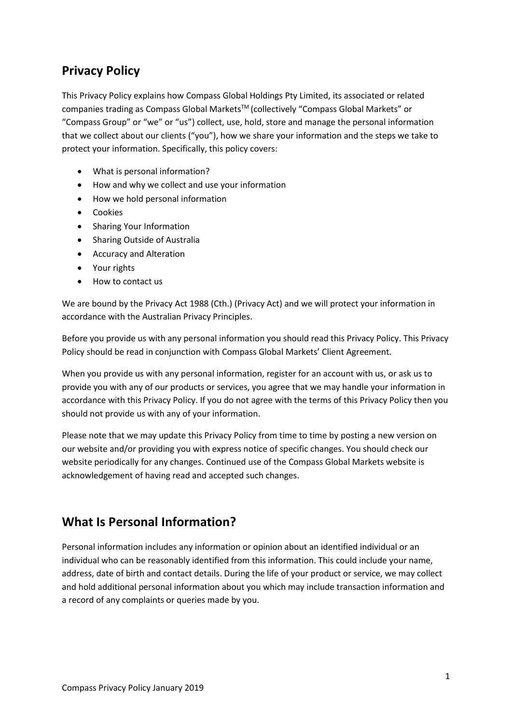# **Privacy Policy**

This Privacy Policy explains how Compass Global Holdings Pty Limited, its associated or related companies trading as Compass Global Markets<sup>TM</sup> (collectively "Compass Global Markets" or "Compass Group" or "we" or "us") collect, use, hold, store and manage the personal information that we collect about our clients ("you"), how we share your information and the steps we take to protect your information. Specifically, this policy covers:

- What is personal information?
- How and why we collect and use your information
- How we hold personal information
- Cookies
- Sharing Your Information
- Sharing Outside of Australia
- Accuracy and Alteration
- Your rights
- How to contact us

We are bound by the Privacy Act 1988 (Cth.) (Privacy Act) and we will protect your information in accordance with the Australian Privacy Principles.

Before you provide us with any personal information you should read this Privacy Policy. This Privacy Policy should be read in conjunction with Compass Global Markets' Client Agreement.

When you provide us with any personal information, register for an account with us, or ask us to provide you with any of our products or services, you agree that we may handle your information in accordance with this Privacy Policy. If you do not agree with the terms of this Privacy Policy then you should not provide us with any of your information.

Please note that we may update this Privacy Policy from time to time by posting a new version on our website and/or providing you with express notice of specific changes. You should check our website periodically for any changes. Continued use of the Compass Global Markets website is acknowledgement of having read and accepted such changes.

# **What Is Personal Information?**

Personal information includes any information or opinion about an identified individual or an individual who can be reasonably identified from this information. This could include your name, address, date of birth and contact details. During the life of your product or service, we may collect and hold additional personal information about you which may include transaction information and a record of any complaints or queries made by you.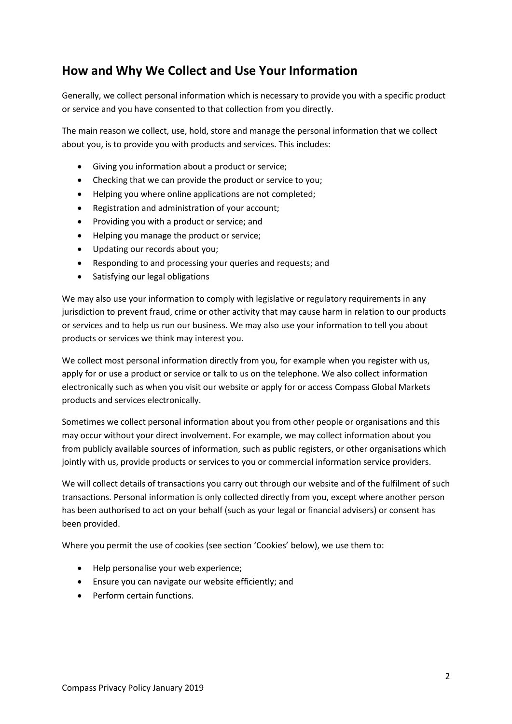# **How and Why We Collect and Use Your Information**

Generally, we collect personal information which is necessary to provide you with a specific product or service and you have consented to that collection from you directly.

The main reason we collect, use, hold, store and manage the personal information that we collect about you, is to provide you with products and services. This includes:

- Giving you information about a product or service;
- Checking that we can provide the product or service to you;
- Helping you where online applications are not completed;
- Registration and administration of your account;
- Providing you with a product or service; and
- Helping you manage the product or service;
- Updating our records about you;
- Responding to and processing your queries and requests; and
- Satisfying our legal obligations

We may also use your information to comply with legislative or regulatory requirements in any jurisdiction to prevent fraud, crime or other activity that may cause harm in relation to our products or services and to help us run our business. We may also use your information to tell you about products or services we think may interest you.

We collect most personal information directly from you, for example when you register with us, apply for or use a product or service or talk to us on the telephone. We also collect information electronically such as when you visit our website or apply for or access Compass Global Markets products and services electronically.

Sometimes we collect personal information about you from other people or organisations and this may occur without your direct involvement. For example, we may collect information about you from publicly available sources of information, such as public registers, or other organisations which jointly with us, provide products or services to you or commercial information service providers.

We will collect details of transactions you carry out through our website and of the fulfilment of such transactions. Personal information is only collected directly from you, except where another person has been authorised to act on your behalf (such as your legal or financial advisers) or consent has been provided.

Where you permit the use of cookies (see section 'Cookies' below), we use them to:

- Help personalise your web experience;
- Ensure you can navigate our website efficiently; and
- Perform certain functions.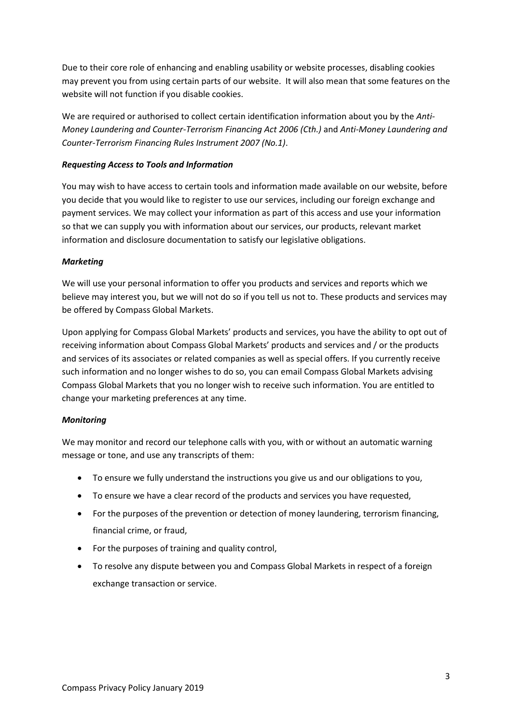Due to their core role of enhancing and enabling usability or website processes, disabling cookies may prevent you from using certain parts of our website. It will also mean that some features on the website will not function if you disable cookies.

We are required or authorised to collect certain identification information about you by the *Anti-Money Laundering and Counter-Terrorism Financing Act 2006 (Cth.)* and *Anti-Money Laundering and Counter-Terrorism Financing Rules Instrument 2007 (No.1)*.

### *Requesting Access to Tools and Information*

You may wish to have access to certain tools and information made available on our website, before you decide that you would like to register to use our services, including our foreign exchange and payment services. We may collect your information as part of this access and use your information so that we can supply you with information about our services, our products, relevant market information and disclosure documentation to satisfy our legislative obligations.

#### *Marketing*

We will use your personal information to offer you products and services and reports which we believe may interest you, but we will not do so if you tell us not to. These products and services may be offered by Compass Global Markets.

Upon applying for Compass Global Markets' products and services, you have the ability to opt out of receiving information about Compass Global Markets' products and services and / or the products and services of its associates or related companies as well as special offers. If you currently receive such information and no longer wishes to do so, you can email Compass Global Markets advising Compass Global Markets that you no longer wish to receive such information. You are entitled to change your marketing preferences at any time.

### *Monitoring*

We may monitor and record our telephone calls with you, with or without an automatic warning message or tone, and use any transcripts of them:

- To ensure we fully understand the instructions you give us and our obligations to you,
- To ensure we have a clear record of the products and services you have requested,
- For the purposes of the prevention or detection of money laundering, terrorism financing, financial crime, or fraud,
- For the purposes of training and quality control,
- To resolve any dispute between you and Compass Global Markets in respect of a foreign exchange transaction or service.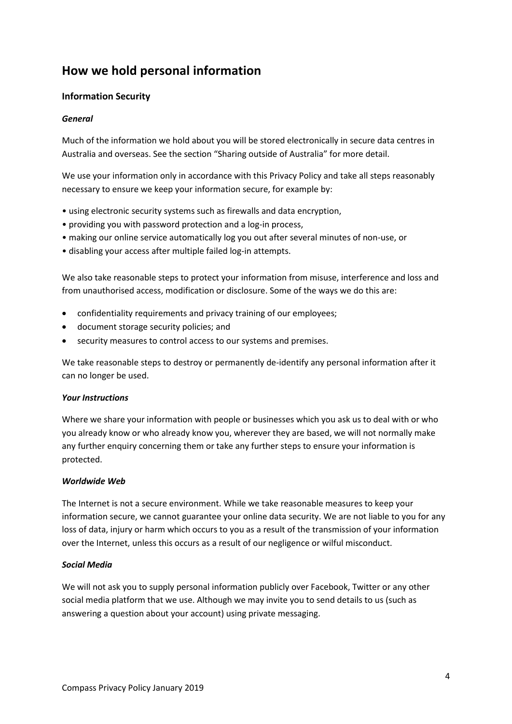# **How we hold personal information**

### **Information Security**

#### *General*

Much of the information we hold about you will be stored electronically in secure data centres in Australia and overseas. See the section "Sharing outside of Australia" for more detail.

We use your information only in accordance with this Privacy Policy and take all steps reasonably necessary to ensure we keep your information secure, for example by:

- using electronic security systems such as firewalls and data encryption,
- providing you with password protection and a log-in process,
- making our online service automatically log you out after several minutes of non-use, or
- disabling your access after multiple failed log-in attempts.

We also take reasonable steps to protect your information from misuse, interference and loss and from unauthorised access, modification or disclosure. Some of the ways we do this are:

- confidentiality requirements and privacy training of our employees;
- document storage security policies; and
- security measures to control access to our systems and premises.

We take reasonable steps to destroy or permanently de-identify any personal information after it can no longer be used.

#### *Your Instructions*

Where we share your information with people or businesses which you ask us to deal with or who you already know or who already know you, wherever they are based, we will not normally make any further enquiry concerning them or take any further steps to ensure your information is protected.

#### *Worldwide Web*

The Internet is not a secure environment. While we take reasonable measures to keep your information secure, we cannot guarantee your online data security. We are not liable to you for any loss of data, injury or harm which occurs to you as a result of the transmission of your information over the Internet, unless this occurs as a result of our negligence or wilful misconduct.

#### *Social Media*

We will not ask you to supply personal information publicly over Facebook, Twitter or any other social media platform that we use. Although we may invite you to send details to us (such as answering a question about your account) using private messaging.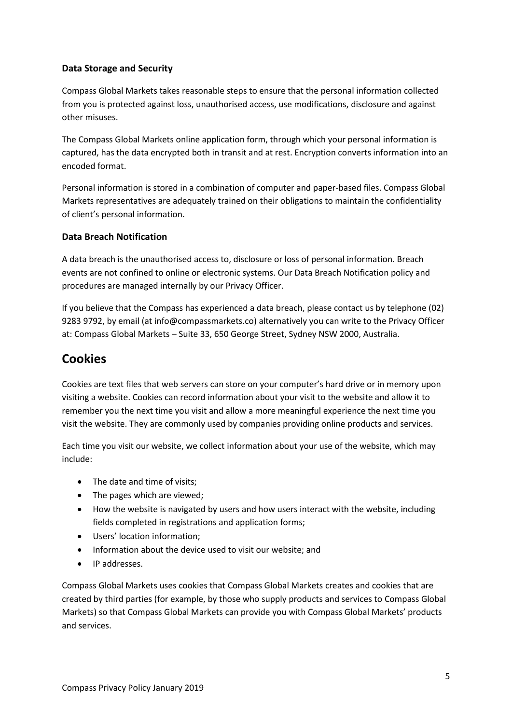## **Data Storage and Security**

Compass Global Markets takes reasonable steps to ensure that the personal information collected from you is protected against loss, unauthorised access, use modifications, disclosure and against other misuses.

The Compass Global Markets online application form, through which your personal information is captured, has the data encrypted both in transit and at rest. Encryption converts information into an encoded format.

Personal information is stored in a combination of computer and paper-based files. Compass Global Markets representatives are adequately trained on their obligations to maintain the confidentiality of client's personal information.

## **Data Breach Notification**

A data breach is the unauthorised access to, disclosure or loss of personal information. Breach events are not confined to online or electronic systems. Our Data Breach Notification policy and procedures are managed internally by our Privacy Officer.

If you believe that the Compass has experienced a data breach, please contact us by telephone (02) 9283 9792, by email (at info@compassmarkets.co) alternatively you can write to the Privacy Officer at: Compass Global Markets – Suite 33, 650 George Street, Sydney NSW 2000, Australia.

## **Cookies**

Cookies are text files that web servers can store on your computer's hard drive or in memory upon visiting a website. Cookies can record information about your visit to the website and allow it to remember you the next time you visit and allow a more meaningful experience the next time you visit the website. They are commonly used by companies providing online products and services.

Each time you visit our website, we collect information about your use of the website, which may include:

- The date and time of visits;
- The pages which are viewed;
- How the website is navigated by users and how users interact with the website, including fields completed in registrations and application forms;
- Users' location information;
- Information about the device used to visit our website; and
- IP addresses.

Compass Global Markets uses cookies that Compass Global Markets creates and cookies that are created by third parties (for example, by those who supply products and services to Compass Global Markets) so that Compass Global Markets can provide you with Compass Global Markets' products and services.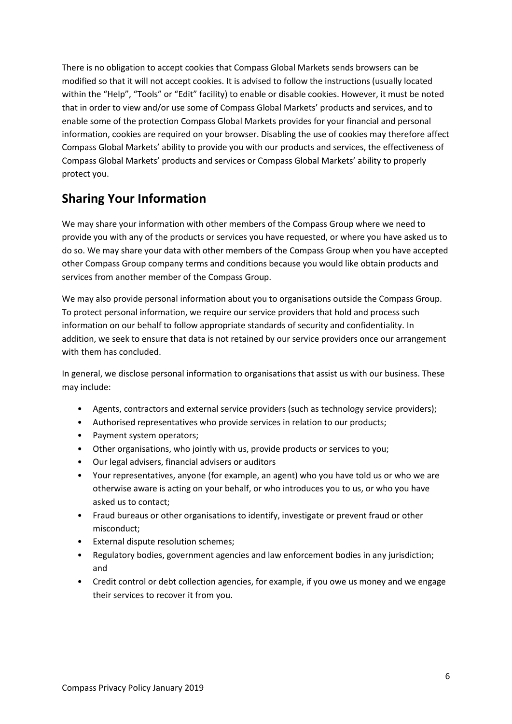There is no obligation to accept cookies that Compass Global Markets sends browsers can be modified so that it will not accept cookies. It is advised to follow the instructions (usually located within the "Help", "Tools" or "Edit" facility) to enable or disable cookies. However, it must be noted that in order to view and/or use some of Compass Global Markets' products and services, and to enable some of the protection Compass Global Markets provides for your financial and personal information, cookies are required on your browser. Disabling the use of cookies may therefore affect Compass Global Markets' ability to provide you with our products and services, the effectiveness of Compass Global Markets' products and services or Compass Global Markets' ability to properly protect you.

# **Sharing Your Information**

We may share your information with other members of the Compass Group where we need to provide you with any of the products or services you have requested, or where you have asked us to do so. We may share your data with other members of the Compass Group when you have accepted other Compass Group company terms and conditions because you would like obtain products and services from another member of the Compass Group.

We may also provide personal information about you to organisations outside the Compass Group. To protect personal information, we require our service providers that hold and process such information on our behalf to follow appropriate standards of security and confidentiality. In addition, we seek to ensure that data is not retained by our service providers once our arrangement with them has concluded.

In general, we disclose personal information to organisations that assist us with our business. These may include:

- Agents, contractors and external service providers (such as technology service providers);
- Authorised representatives who provide services in relation to our products;
- Payment system operators;
- Other organisations, who jointly with us, provide products or services to you;
- Our legal advisers, financial advisers or auditors
- Your representatives, anyone (for example, an agent) who you have told us or who we are otherwise aware is acting on your behalf, or who introduces you to us, or who you have asked us to contact;
- Fraud bureaus or other organisations to identify, investigate or prevent fraud or other misconduct;
- External dispute resolution schemes;
- Regulatory bodies, government agencies and law enforcement bodies in any jurisdiction; and
- Credit control or debt collection agencies, for example, if you owe us money and we engage their services to recover it from you.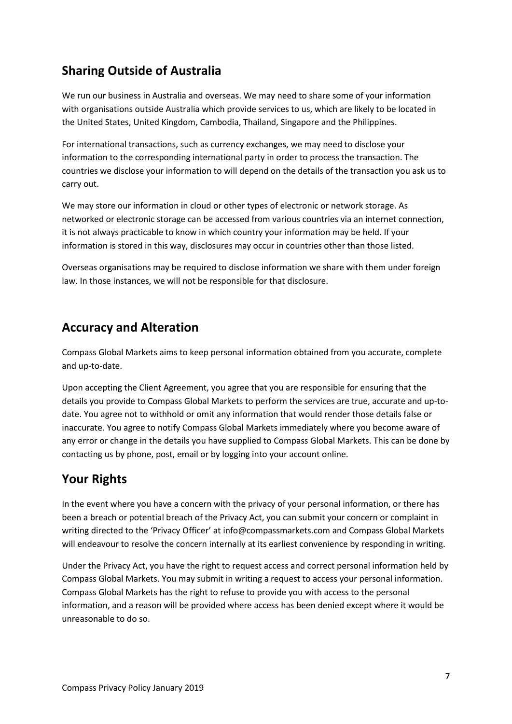# **Sharing Outside of Australia**

We run our business in Australia and overseas. We may need to share some of your information with organisations outside Australia which provide services to us, which are likely to be located in the United States, United Kingdom, Cambodia, Thailand, Singapore and the Philippines.

For international transactions, such as currency exchanges, we may need to disclose your information to the corresponding international party in order to process the transaction. The countries we disclose your information to will depend on the details of the transaction you ask us to carry out.

We may store our information in cloud or other types of electronic or network storage. As networked or electronic storage can be accessed from various countries via an internet connection, it is not always practicable to know in which country your information may be held. If your information is stored in this way, disclosures may occur in countries other than those listed.

Overseas organisations may be required to disclose information we share with them under foreign law. In those instances, we will not be responsible for that disclosure.

# **Accuracy and Alteration**

Compass Global Markets aims to keep personal information obtained from you accurate, complete and up-to-date.

Upon accepting the Client Agreement, you agree that you are responsible for ensuring that the details you provide to Compass Global Markets to perform the services are true, accurate and up-todate. You agree not to withhold or omit any information that would render those details false or inaccurate. You agree to notify Compass Global Markets immediately where you become aware of any error or change in the details you have supplied to Compass Global Markets. This can be done by contacting us by phone, post, email or by logging into your account online.

# **Your Rights**

In the event where you have a concern with the privacy of your personal information, or there has been a breach or potential breach of the Privacy Act, you can submit your concern or complaint in writing directed to the 'Privacy Officer' at info@compassmarkets.com and Compass Global Markets will endeavour to resolve the concern internally at its earliest convenience by responding in writing.

Under the Privacy Act, you have the right to request access and correct personal information held by Compass Global Markets. You may submit in writing a request to access your personal information. Compass Global Markets has the right to refuse to provide you with access to the personal information, and a reason will be provided where access has been denied except where it would be unreasonable to do so.